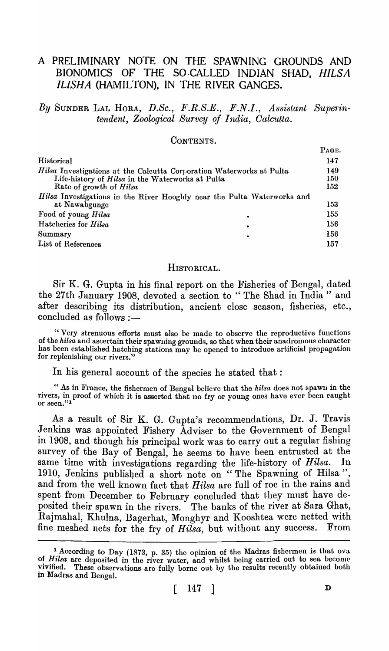# A PRELIMINARY NOTE ON THE SPAWNING GROUNDS AND BIONOMICS OF THE SO-CALLED INDIAN SHAD, *HILSA ILISHA* (HAMILTON), IN THE RIVER GANGES.

*By* SUNDER LAL HORA, D.Sc., F.R.S.E., F.N.I., Assistant Superin*tendent, Zoological Survey of India, Calcutta.* 

CONTENTS.

|                                                                         | PAGE.      |
|-------------------------------------------------------------------------|------------|
| Historical                                                              | 147        |
| Hilsa Investigations at the Calcutta Corporation Waterworks at Pulta    | 149        |
| Life-history of Hilsa in the Waterworks at Pulta                        | 150        |
| Rate of growth of Hilsa                                                 | <b>152</b> |
| Hilsa Investigations in the River Hooghly near the Pulta Waterworks and |            |
| at Nawabgunge                                                           | 153        |
| Food of young Hilsa                                                     | 155        |
| Hatcheries for Hilsa<br>٠                                               | 156        |
| Summary<br>$\bullet$                                                    | 156        |
| List of References                                                      | 157        |

#### HISTORICAL.

Sir K. G. Gupta in his final report on the Fisheries of Bengal, dated the 27th January 1908, devoted a section to " The Shad in India" and after describing its distribution, ancient close season, fisheries, etc.,  $concluded$  as follows  $:$   $-$ 

"Very strenuous efforts must also be made to observe the reproductive functions of the *hilsa* and ascertain their spawning grounds, so that when their anadromous character has been established hatching stations may be opened to introduce artificial propagation for replenishing our rivers."

In his general account of the species he stated that:

" As in France, the fishermen of Bengal believe that the *hilsa* does not spawn in the rivers, in proof of which it is asserted that no fry or young ones have ever been caught or seen." $1$ 

As a result of Sir K. G. Gupta's recommendations, Dr. J. Travis Jenkins was appointed Fishery Adviser to the Government of Bengal in 1908, and though his principal work was to carry out a regular fishing survey of the Bay of Bengal, he seems to have been entrusted at the same time with investigations regarding the life-history of *Hilsa*. In 1910, Jenkins published a short note on "The Spawning of Hilsa", and from the well known fact that *Hilsa* are full of roe in the rains and spent from December to February concluded that they must have deposited their spawn in the rivers. The banks of the river at Sara Ghat, Rajmahal, Khulna, Bagerhat, Monghyr and Kooshtea were netted with fine meshed nets for the fry of *Hilsa,* but without any success. From

 $\mathbf{p}$ .  $\mathbf{r}$ 

<sup>&</sup>lt;sup>1</sup> According to Day (1873, p. 35) the opinion of the Madras fishermen is that ova of *Hilsa* are deposited in the river water, and whilst being carried out to sea become vivified. These observations are fully borne out by the results recently obtained both in Madras and Bengal.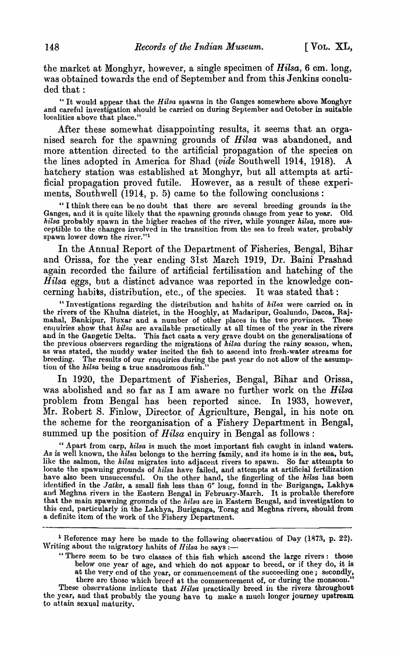the market at Monghyr, however, a single specimen of *Hilsa,* 6 cm. long, was obtained towards the end of September and from this Jenkins concluded that:

"It would appear that the *Hilsa* spawns in the Ganges somewhere above Monghyr and careful investigation should be carried on during September and October in suitable localities above that place."

After these somewhat disappointing results, it seems that an organised search for the spawning grounds of *Hilsa* was abandoned, and more attention directed to the artificial propagation of the species on the lines adopted in America for Shad *(vide* Southwell 1914, 1918). A hatchery station was established at Monghyr, but all attempts at artificial propagation proved futile. However, as a result of these experiments, Southwell (1914, p. 5) came to the following conclusions:

"I think there can be no doubt that there are several breeding grounds in the Ganges, and it is quite likely that the spawning grounds chauge from year to year. Old *hilsa* probably spawn in the higher reaches of the river, while younger *hilsa*, more susceptible to the changes involved in the transition from the sea to fresh water, probably spawn lower down the river."<sup>1</sup>

In the Annual Report of the Department of Fisheries, Bengal, Bihar and Orissa, for the year ending 31st March 1919, Dr. Baini Prashad again recorded the failure of artificial fertilisation and hatching of the *Hilsa* eggs, but a distinct advance was reported in the knowledge concerning habits, distribution, etc., of the species. It was stated that:

"Investigations regarding the distribution and habits of *hilsa* were carried on in the rivers of the Khulna district, in the Hooghly, at Madaripur, Goalundo, Dacca, Rajmahal, Bankipur, Buxar and a number of other places in the two provinces. These enquiries show that *hilsa* are available practically at all times of the year in the rivers and in the Gangetic Delta. This fact casts a very grave doubt on the generalisations of the previous observers regarding the migrations of *hilsa* during the rainy season, when, as was stated, the muddy water incited the fish to ascend into fresh-water streams for breeding. The results of our enquiries during the past year do not allow of the assumption of the *hilsa* being a true anadromous fish."

In 1920, the Department of Fisheries, Bengal, Bihar and Orissa, was abolished and so far as I am aware no further work on the *Hilsa* problem from Bengal has been reported since. In 1933, however, Mr. Robert S. Finlow, Director. of Agriculture, Bengal, in his note on the scheme for the reorganisation of a Fishery Department in Bengal, summed up the position of *Hilsa* enquiry in Bengal as follows:

" Apart from carp, *hilsa* is much the most important fish caught in inland waters. As is well known, the *hilsa* belongs to the herring family, and its home is in the sea, but, like the salmon, the *hilsa* migrates into adjacent rivers to spawn. So far attempts to locate the spawning grounds of *hilsa* have failed, and attempts at artificial fertilization have also been unsuccessful. On the other hand, the fingerling of the *hilsa* has been identified in the *Jatka*, a small fish less than 6" long, found in the Buriganga, Lakhya and Meghna rivers in the Eastern Bengal in February-March. It is probable therefore that the main spawning grounds of the *hilsa* are in Eastern Bengal, and investigation to this end, particularly in the Lakhya, Buriganga, Torag and Meghna rivers, should from a definite item of the work of the Fishery Department.

- "There seem to be two classes of this fish which ascend the large rivers: those below one year of age, and which do not appear to breed, or if they do, it is at the very end of the year, or commencement of the succeeding one; secondly, there are thosc which breed at the commencement of, or during the monsoon."
- These observations indicate that *Hilsa* practically breed in the rivers throughout the year, and that probably the young have to make a much longer journey upstream to attain sexual maturity.

<sup>&</sup>lt;sup>1</sup> Reference may here be made to the following observation of Day (1873, p. 22). Writing about the migratory habits of *Hilsa* he says :-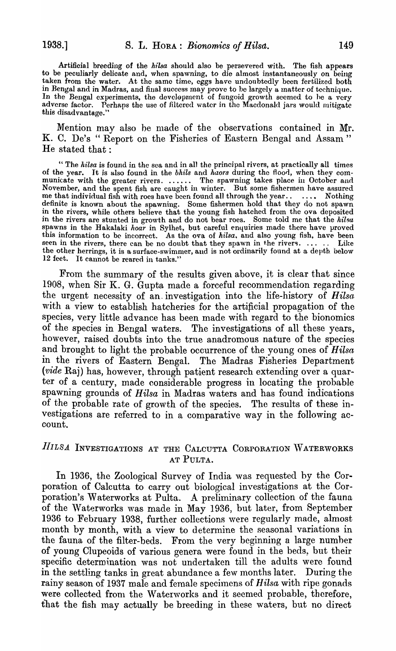Artificial breeding of the *hllsa* should also be persevered with. The fish appears to be peculiarly delicate and, when spawning, to die almost instantaneously on being taken from the water. At the same time, eggs have undoubtedly been fertilized both in Bengal and in Madras, and final success may prove to be largely a matter of technique. In the Bengal experiments, the development of fungoid growth seemed to he a very adverse factor. Perhaps the use of filtered water in thc Macdonald jars would mitigate this disadvantage.'

Mention may also be made of the observations contained in Mr. K. C. De's "Report on the Fisheries of Eastern Bengal and Assam" He stated that:

" The *hilsa* is found in the sea and in all the principal rivers, at practically all times of the year. It is also found in the *bhils* and *haors* during the floorl, when they communicate with the greater rivers. ...... The spawning takes place in October and November, and the spent fish are caught in winter. But some fishermen have assured me that individual fish with roes have been found all through the year..  $\ldots$ . Nothing definite is known about the spawning. Some fishermen hold that they do not spawn in the rivers, while others believe that the young fish hatched from the ova deposited in the rivers are stunted in growth and do not bear roes. Some told me that the hilsa spawns in the Hakalaki *hoar* in Sylhet, but careful enquiries made there have proved this information to be incorrect. As the ova of *hilsa,* and also young fish, have been seen in the rivers, there can be no doubt that they spawn in the rivers. ....... Like the other herrings, it is a surface-swimmer, aud is not ordinarily found at a depth "below 12 feet. It cannot be reared in tanks."

From the summary of the results given above, it is clear that since 1908, when Sir K. G. Gupta made a forceful recommendation regarding the urgent necessity of an. investigation into the life-history of *Hilsa*  with a view to establish hatcheries for the artificial propagation of the species, very little advance has been made with regard to the bionomics of the species in Bengal waters. The investigations of all these years, however, raised doubts into the true anadromous nature of the species and brought to light the probable occurrence of the young ones of *Hilsa*  in the rivers of Eastern Bengal. The Madras Fisheries Department *(vide Raj)* has, however, through patient research extending over a quarter of a century, made considerable progress in locating the probable spawning grounds of *Hilsa* in Madras waters and has found indications of the probable rate of growth of the species. The results of these investigations are referred to in a comparative way in the following account.

# *IIILSA* INVESTIGATIONS AT THE CALCUTTA CORPORATION WATERWORKS AT PULTA.

In 1936, the Zoological Survey of India was requested by the Corporation of Calcutta to carry out biological investigations at the Corporation's Waterworks at Pulta. A preliminary collection of the fauna of the Waterworks was made in May 1936, but later, from September 1936 to February 1938, further collections were regularly made, almost month by month, with a view to determine the seasonal variations in the fauna of the filter-beds. From the very beginning a large numher of young Clupeoids of various genera were found in the beds, but their specific determination was not undertaken till the adults were found in the settling tanks in great abundance a few months later. During the rainy season of 1937 male and female specimens of *Hilsa* with ripe gonads were collected from the Waterworks and it seemed probable, therefore, that the fish may actually be breeding in these waters, but no direct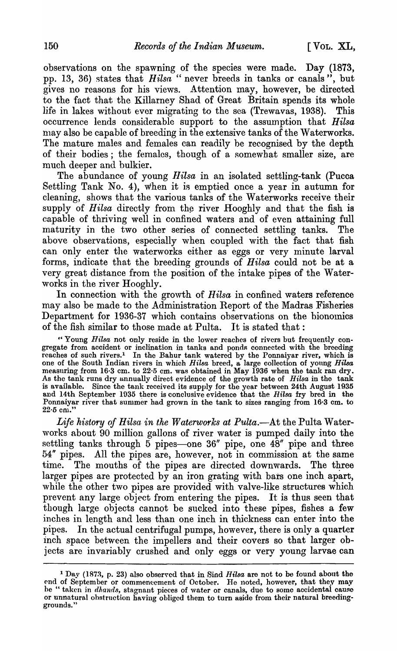observations on the spawning of the species were made. Day (1873, pp. 13, 36) states that *Hilsa* " never breeds in tanks or canals", but gives no reasons for his views. Attention may, however, be directed to the fact that the Killarney Shad of Great Britain spends its whole life in lakes without ever migrating to the sea (Trewavas, 1938). This occurrence lends considerable support to the assumption that *Hilsa*  may also be capable of breeding in the extensive tanks of the Waterworks. The mature males and females can readily be recognised by the depth of their bodies; the females, though of a somewhat smaller size, are much deeper and bulkier.

The abundance of young *Hilsa* in an isolated settling-tank (Pucca Settling Tank No. 4), when it is emptied once a year in autumn for cleaning, shows that the various tanks of the Waterworks receive their supply of *Hilsa* directly from the river Hooghly and that the fish is capable of thriving well in confined waters and of even attaining full maturity in the two other series of connected settling tanks. The above observations, especially when coupled with the fact that fish can only enter the waterworks either as eggs or very minute larval forms, indicate that the breeding grounds of *Hilsa* could not be at a very great distance from the position of the intake pipes of the Waterworks in the river Hooghly.

In connection with the growth of *Hilsa* in confined waters reference may also be made to the Administration Report of the Madras Fisheries Department for 1936-37 which contains observations on the bionomics of the fish similar to those made at Pulta. It is stated that:

"Young *Hilsa* not only reside in the lower reaches of rivers but frequently congregate from accident or inclination in tanks and ponds connected with the breeding reaches of such rivers.<sup>1</sup> In the Bahur tank watered by the Ponnaiyar river, which is one of the South Indian rivers in which *Hilsa* breed, a large collection of young *Hilsa* measuring from 16·3 cm. to 22·5 cm. was obtained in May 1936 when the tank ran dry. As the tank runs dry annually direct evidence of the growth rate of *Hilsa* in the tank is available. Since the tank received its supply for the year between 24th August 1935 and 14th September 1935 there is conclusive evidence that the *Rilsa* fry bred in the Ponnaiyar river that summer had grown in the tank to sizes ranging from 16·3 cm. to 22.5 cm.

*Life history of Hilsa in the Waterworks at Pulta.*—At the Pulta Waterworks about 90 million gallons of river water is pumped daily into the settling tanks through  $5$  pipes—one  $36''$  pipe, one  $48''$  pipe and three 54" pipes. All the pipes are, however, not in commission at the same time. The mouths of the pipes are directed downwards. The three larger pipes are protected by an iron grating with bars one inch apart, while the other two pipes are provided with valve-like structures which prevent any large object from entering the pipes. It is thus seen that though large objects cannot be sucked into these pipes, fishes a few inches in length and less than one inch in thickness can enter into the pipes. In the actual centrifugal pumps, however, there is only a quarter inch space between the impellers and their covers so that larger objects are invariably crushed and only eggs or very young larvae can

<sup>&</sup>lt;sup>1</sup> Day (1873, p. 23) also observed that in Sind *Hilsa* are not to be found about the end of September or commencement of October. He noted, however, that they may be " taken in *dhands*, stagnant pieces of water or canals, due to some accidental cause or unnatural ohstruction having obliged them to turn aside from their natural breedinggrounds."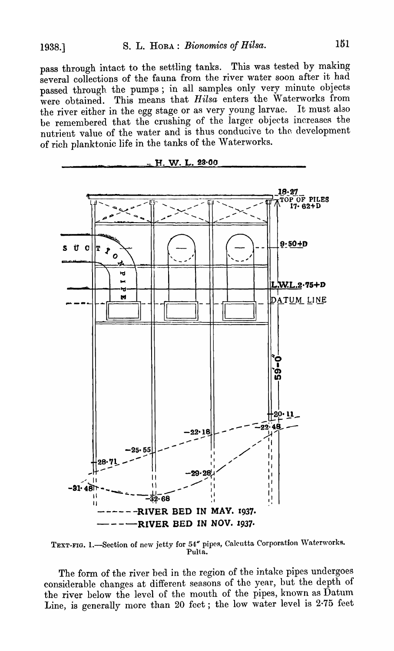pass through intact to the settling tanks. This was tested by making several collections of the fauna from the river water soon after it had passed through the pumps; in all samples only very minute objects were obtained. This means that *Hilsa* enters the Waterworks from the river either in the egg stage or as very young larvae. It must alao be remembered that the crushing of the larger objects increases the nutrient value of the water and is thus conducive to the development of rich planktonic life in the tanks of the Waterworks.



 ${\tt TEXT\text{-}FIG. 1.}\text{—Section of new jetty for 54}$  pipes, Calcutta Corporation Waterworks. Pulta.

The form of the river bed in the region of the intake pipes undergoes considerable changes at different seasons of the year, but the depth of the river below the level of the mouth of the pipes, known as Datum Line, is generally more than 20 feet; the low water level is 2-75 feet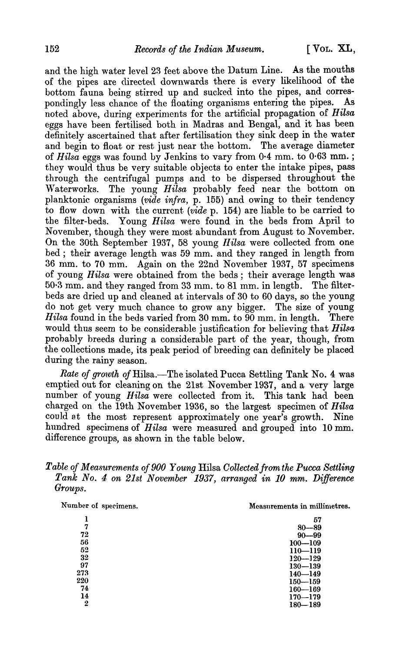and the high water level 23 feet above the Datum Line. As the mouths of the pipes are directed downwards there is every likelihood of the bottom fauna being stirred up and sucked into the pipes, and correspondingly less chance of the floating organisms entering the pipes. As noted above, during experiments for the artificial propagation of *Hilsa* eggs have been fertilised both in Madras and Bengal, and it has been definitely ascertained that after fertilisation they sink deep in the water and begin to float or rest just near the bottom. The average diameter of *Hilsa* eggs was found by Jenkins to vary from 0·4 mm. to 0·63 mm. ; they would thus be very suitable objects to enter the intake pipes, pass through the centrifugal pumps and to be dispersed throughout the Waterworks. The young *Hilsa* probably feed near the bottom on planktonic organisms *(vide infra*, p. 155) and owing to their tendency to flow down with the current. *(vide* p. 154) are liable to be carried to the filter-beds. Young *Hilsa* were found in the beds from April to November, though they were most abundant from August to November. On the 30th September 1937, 58 young *Hilsa* were collected from one bed; their average length was 59 mm. and they ranged in length from 36 mm. to 70 mm. Again on the 22nd November 1937, 57 specimens of young *Hilsa* were obtained from the beds; their average length was  $50.3$  mm. and they ranged from 33 mm, to 81 mm, in length. The filterbeds are dried up and cleaned at intervals of 30 to 60 days, so the young do not get very much chance to grow any bigger. The size of young *Hilsa* found in the beds varied from 30 mm. to 90 mm. in length. There would thus seem to be considerable justification for believing that *Hilsa* probably breeds during a considerable part of the year, though, from the collections made, its peak period of breeding can definitely be placed during the rainy season.

*Rate of growth of Hilsa.*—The isolated Pucca Settling Tank No. 4 was emptied out for cleaning on the 21st November 1937, and a very large number of young *Hilsa* were collected from it. This tank had been charged on the 19th November 1936, so the largest specimen of *Hilsa*  could at the most represent approximately one year's growth. Nine hundred specimens of *Hilsa* were measured and grouped into 10 mm. difference groups, as shown in the table below.

### *Table of Measurements of 900 Young Hilsa Collected from the Pucca Settling Tank No.4 on 21st November* 1937, *arranged in 10 mm. Difference Groups.*

| Number of specimens. | Measurements in millimetres. |
|----------------------|------------------------------|
| ı                    | 57                           |
| 7                    | $80 - 89$                    |
| 72                   | $90 - 99$                    |
| 56                   | $100 - 109$                  |
| 52                   | $110 - 119$                  |
| 32                   | $120 - 129$                  |
| 97                   | $130 - 139$                  |
| 273                  | $140 - 149$                  |
| 220                  | $150 - 159$                  |
| 74                   | $160 - 169$                  |
| 14                   | $170 - 179$                  |
| $\boldsymbol{2}$     | $180 - 189$                  |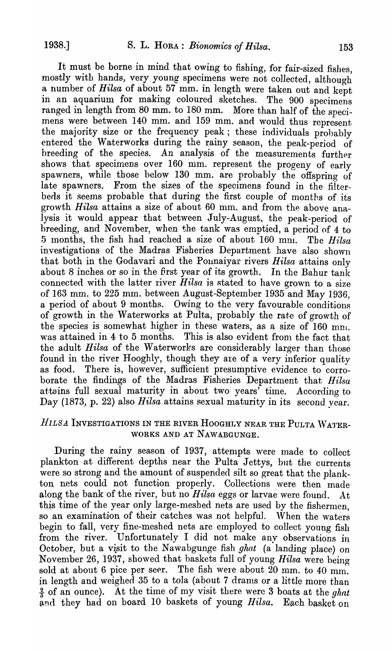It must be borne in mind that owing to fishing, for fair-sized fishes, mostly with hands, very young specimens were not collected, although a number of *Bilsa* of about 57 mm. in length were taken out and kept in an aquarium for making coloured sketches. The 900 specimens ranged in length from 80 mm. to 180 mm. More than half of the specimens were between 140 mm. and 159 mm. and would thus represent the majority size or the frequency peak; these individuals prohably entered the Waterworks during the rainy season, the peak-period of breeding of the species. An analysis of the measurements further shows that specimens over 160 mm. represent the progeny of early spawners, while those below 130 mm. are probably the offspring of late spawners. From the sizes of the specimens found in the filterbeds it seems probable that during the first couple of months of its growth *Hilsa* attains a size of about 60 mm. and from the above analysis it would appear that between July-August., the peak-period of breeding, and November, when the tank was emptied, a period of 4 to 5 months, the fish had reached a size of about 160 mn. The *Hilsa* investigations of the Madras Fisheries Department have also shown that both in the Godavari and the Ponnaiyar rivers *Bilsa* attains only about 8 inches or so in the first year of its growth. In the Bahur tank connected with the latter river  $Hilsa$  is stated to have grown to a size of 163 mm. to 225 mm. between August-September 1935 and May 1936, a period of about 9 months. Owing to the very favourable conditions of growth in the Waterworks at Pulta, probably the rate of growth of the species is somewhat higher in these waters, as a size of  $160 \text{ mm}$ . was attained in 4 to 5 months. This is also evident from the fact that the adult *Hilsa* of the Waterworks are considerably larger than those found in the river Hooghly, though they are of a very inferior quality as food. There is, however, sufficient presumptive evidence to corroborate the findings of the Madras Fisheries Department that *Hilsa* attains full sexual maturity in about two years' time. According to Day (1873, p. 22) also *Hilsa* attains sexual maturity in *its* second year.

# *HILSA* INVESTIGATIONS IN THE RIVER HOOGHLY NEAR THE PULTA WATER-WORKS AND AT NAWABGUNGE.

During the rainy season of 1937, attempts were made to collect plankton at different depths near the Pulta Jettys, but the currents were so strong and the amount of suspended silt so great that the plankton nets could not function properly. Collections \vere then made along the bank of the river, but no *Hilsa* eggs or larvae were found. At this time of the year only large-meshed nets are used by the fishermen. so an examination of their catches was not helpful. 'Vhen the waters begin to fall, very fine-meshed nets are employed to collect young fish from the river. Unfortunately I did not make any observations in October, but a visit to the Nawabgunge fish *ghat* (a landing place) on Novenlber 26, 1937, showed that baskets full of young *Hilsa* were being sold at about 6 pice per seer. The fish were about 20 mm. to 40 mm. in length and weighed  $35$  to a tola (about 7 drams or a little more than  $\frac{2}{5}$  of an ounce). At the time of my visit there were 3 boats at the *ghat* and they had on board 10 baskets of young *Hilsa*. Each basket on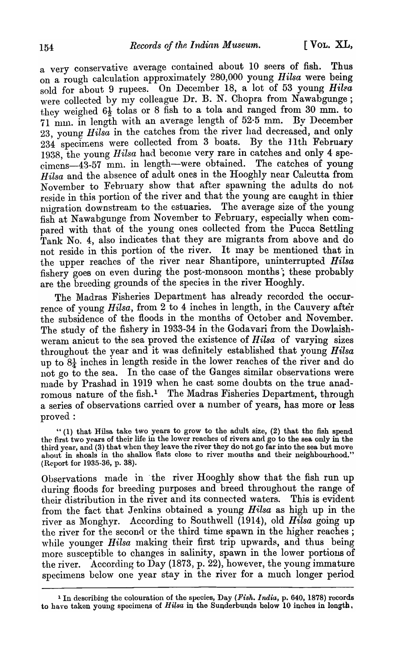a very conservative average contained about 10 seers of fish. Thus on a rough calculation approximately 280,000 young *Hilsa* were being sold for about 9 rupees. On December 18, a lot of 53 young *Hilsa* were collected by my colleague Dr. B. N. Chopra from Nawabgunge; they weighed  $6\frac{1}{2}$  tolas or 8 fish to a tola and ranged from 30 mm. to 71 mm. in length with an average length of 52.5 mm. By December 23, young *Hilsa* in the catches from the river had decreased, and only  $234$  specimens were collected from 3 boats. By the 11th February 1938, the young *Hilsa* had become very rare in catches and only 4 specimens-43-57 mm. in length-were obtained. The catches of young *Hilsa* and the absence of adult ones in the Hooghly near Calcutta from November to February show that nfter spawning the adults do not; reside in this portion of the river and that the young are caught in thier migration downstream to the estuaries. The average size of the young fish at Nawabgunge from November to February, especially when compared with that of the young ones collected from the Pucca Settling Tank No. 4, also indicates that they are migrants from above and do not reside in this portion of the river. It may be mentioned that in the upper reaches of the river near Shantipore, uninterrupted. *Hilsa*  fishery goes on even during the post-monsoon months; these probably are the breeding grounds of the species in the river Hooghly.

The Madras Fisheries Department has already recorded the occurrence of young *Hilsa*, from 2 to 4 inches in length, in the Cauvery after the subsidence of the floods in the months of October and November. The study of the fishery in 1933-34 in the Godavari from the Dowlaishweram anicut to the sea proved the existence of *Hilsa* of varying sizes throughout the year and it was definitely established that young *Hilsa*  up to  $8\frac{1}{4}$  inches in length reside in the lower reaches of the river and do not go to the sea. In the case of the Ganges similar observations were made by Prashad in 1919 when he cast some doubts on the true anadromous nature of the fish.<sup>1</sup> The Madras Fisheries Department, through a series of observations carried over a number of years, has more or less proved:

"(1) that Rilsa take two years to grow to the adult size, (2) that the fish spend the first two years of their life in the lower reaches of rivers and go to the sea only in the third year, and (3) that when they leave the river they do not go far into the sea but move ahout in shoals in the shallow flats close to river mouths and their neighbourhood." (Report for 1935-36, p. 38).

Observations made in "the river Hooghly show that the fish run up during floods for breeding purposes and breed throughout the range of their distribution in the river and its connected waters. This is evident from the fact that Jenkins obtained a young *Hilsa* as high up in the river as Monghyr. According to Southwell (1914), old *Hilsa* going up the river for the second or the third time spawn in the higher reaches; while younger *Hilsa* making their first trip upwards, and thus being more susceptible to changes in salinity, spawn in the lower portions of the river. According to Day (1873, p. 22), however, the young immature specimens below one year stay in the river for a much longer period

<sup>1</sup> In describing the colouration of the species, Day *(Fish. India,* p. 640, 1878) records to have taken young specimens of *Hilsa* in the Sunderbunds below 10 inches in length.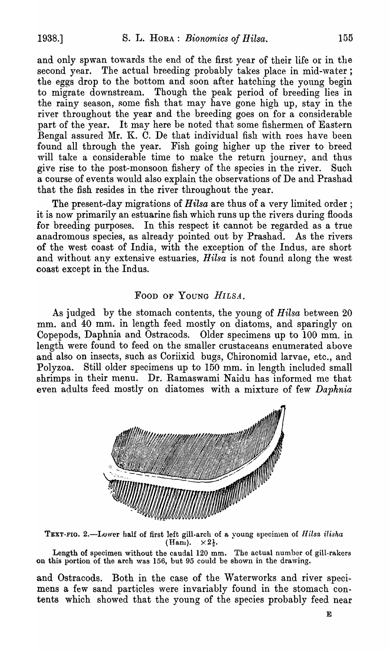and only spwan towards the end of the first year of their life or in the second year. The actual breeding probably takes place in mid-water; the eggs drop to the bottom and soon after hatching the young begin to migrate downstream. Though the peak period of breeding lies in the rainy season, some fish that may have gone high up, stay in the river throughout the year and the breeding goes on for a considerable part of the year. It may here be noted that some fishermen of Eastern Bengal assured Mr. K. C. De that individual fish with roes have been found all through the year. Fish going higher up the river to breed will take a considerable time to make the return journey, and thus give rise to the post-monsoon fishery of the species in the river. Such a course of events would also explain the observations of De and Prashad that the fish resides in the river throughout the year.

The present-day migrations of *Hilsa* are thus of a very limited order; it is now primarily an estuarine fish which runs up the rivers during floods for breeding purposes. In this respect it cannot be regarded as a true anadromous species, as already pointed out by Prashad. As the rivers of the west coast of India, with the exception of the Indus, are short and without any extensive estuaries, *Hilsa* is not found along the west coast except in the Indus.

### FOOD OF YOUNG *HILSA.*

As judged by the stomach contents, the young of *Hilsa* between 20 mm. and 40 mm. in length feed mostly on diatoms, and sparingly on Copepods, Daphnia and Ostracods. Older specimens up to 100 mm. in length were found to feed on the smaller crustaceans enumerated above and also on insects, such as Coriixid bugs, Chironomid larvae, etc., and Polyzoa. Still older specimens up to 150 mm. in length included small shrimps in their menu. Dr. Ramaswami Naidu has informed me that even adults feed mostly on. diatomes with a mixture of few *Daphnia* 



TEXT-FIG. 2.-Iower half of first left gill-arch of a young specimen of *Hilsa ilisha* (Hani).  $\times 2\frac{1}{2}$ .

Length of specimen without the caudal 120 mm. The actual number of gill-rakers on this portion of the arch was 156, but 95 could be shown in the drawing.

and Ostracods. Both in the case of the Waterworks and river specimens a few sand particles were invariably found in the stomach contents which showed that the young of the species probably feed near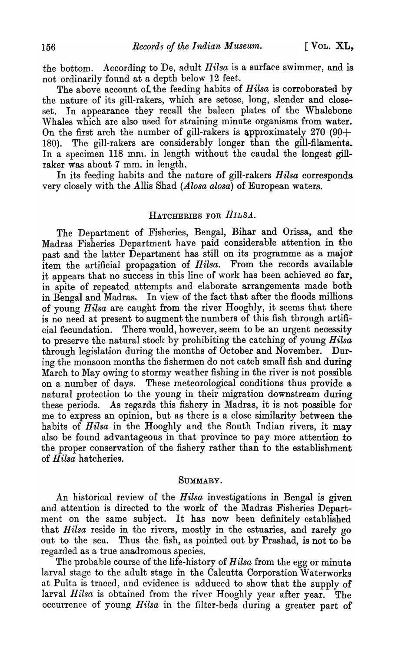the bottom. According to De, adult *Hilsa* is a surface swimmer, and is not ordinarily found at a depth below 12 feet.

The above account of. the feeding habits of *Hilsa* is corroborated by the nature of its gill-rakers, which are setose, long, slender and closeset. In appearance they recall the baleen plates of the Whalebone Whales which are also used for straining minute organisms from water. On the first arch the number of gill-rakers is approximately 270 (90+) 180). The gill-rakers are considerably longer than the gill-filaments. In a specimen 118 mm. in length without the caudal the longest gillraker was about 7 mm. in length.

In its feeding habits and the nature of gill-rakers *Hilsa* corresponds. very closely with the Allis Shad *(Alosa alosa)* of European waters.

### HATCHERIES FOR *HILSA*.

The Department of Fisheries, Bengal, Bihar and Orissa, and the Madras Fisheries Department have paid considerable attention in the past and the latter Department has still on its programme as a major item the artificial propagation of *Hilsa*. From the records available it appears that no success in this line of work has been achieved so far, in spite of repeated attempts and elaborate arrangements made both in Bengal and Madras. In view of the fact that after the floods millions of young *llilsa* are caught from the river Hooghly, it seems that there is no need at present to augment the numbers of this fish through artificial fecundation. There would, however, seem to be an urgent necessity to preserve the natural stock by prohibiting the catching of young *Hilsa*  through legislation during the months of October and November. During the monsoon months the fishermen do not catch small fish and during March to May owing to stormy weather fishing in the river is not possible on a nunlber of days. These meteorological conditions thus provide a natural protection to the young in their migration downstream during these periods. As regards this fishery in Madras, it is not possible for me to express an opinion, but as there is a close similarity between the habits of *Hilsa* in the Hooghly and the South Indian rivers, it may also be found advantageous in that province to pay more attention to the proper conservation of the fishery rather than to the establishment of *H ilsa* hatcheries.

#### SUMMARY.

An historical review of the *Hilsa* investigations in Bengal is given and attention is directed to the work of the Madras Fisheries Department on the same subject. It has now been definitely established that Hilsa reside in the rivers, mostly in the estuaries, and rarely go out to the sea. Thus the fish, as pointed out by Prashad, is not to be regarded as a true anadromous species.

The probable course of the life-history of *Hilsa* from the egg or minute larval stage to the adult stage in the Calcutta Corporation \Vaterworks at Pulta is traced, and evidence is adduced to show that the supply of larval *Hilsa* is obtained from the river Hooghly year after year. The occurrence of young *Hilsa* in the filter-beds during a greater part of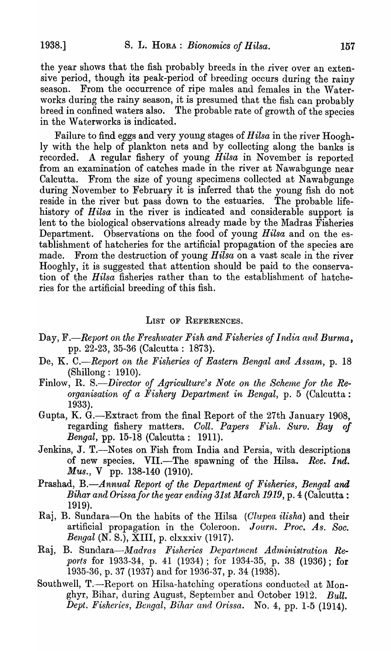the year shows that the fish probably breeds in the river over an extensive period, though its peak-period of breeding occurs during the rainy season. From the occurrence of ripe males and females in the Waterworks during the rainy season, it is presumed that the fish can probably breed in confined waters also. The probable rate of growth of the species in the Waterworks is indicated.

Failure to find eggs and very young stages of *Hilsa* in the river Hooghly with the help of plankton nets and by collecting along the banks is recorded. A regular fishery of young *Hilsa* in November is reported from an examination of catches made in the river at Nawabgunge near Calcutta. From the size of young specimens collected at Nawabgunge during November to February it is inferred that the young fish do not reside in the river but pass down to the estuaries. The probable lifehistory of *Hilsa* in the river is indicated and considerable support is lent to the biological observations already made by the Madras Fisheries Department. Observations on the food of young *Hilsa* and on the establishment of hatcheries for the artificial propagation of the species are made. From the destruction of young  $Hil\tilde{s}u$  on a vast scale in the river Hooghly, it is suggested that attention should be paid to the conservation of the *Hilsa* fisheries rather than to the establishment of hatcheries for the artificial breeding of this fish.

#### LIST OF REFERENCES.

- Day, F.—Report on the Freshwater Fish and Fisheries of India and Burma, pp. 22-23, 35-36 (Calcutta: 1873).
- De, K. C.—Report on the Fisheries of Eastern Bengal and Assam, p. 18 (Shillong: 1910).
- Finlow, R. S.<sup>-</sup>Director of Agriculture's Note on the Scheme for the Re*organ'isation of a Fishery Department in Bengal,* p. 5 (Calcutta: 1933).
- Gupta, K. G.-Extract from the final Report of the 27th January 1908, regarding fishery matters. *Coll. Papers Fish. Surv. Bay of Bengal*, pp. 15-18 (Calcutta: 1911).
- Jenkins, J. T.—Notes on Fish from India and Persia, with descriptions of new species. VII.-The spawning of the Hilsa. *Ree. Ind. Mus.,* V pp. 138-140 (1910).
- Prashad, B.—Annual Report of the Department of Fisheries, Bengal and *Bihar and Orissa for the year ending 31st March 1919*, p. 4 (Calcutta: 1919).
- Raj, B. Sundara-On the habits of the Hilsa *(Clupea ilisha)* and their artificial propagation in the Coleroon. *Journ. Proc. As. Soc. Bengal* (N. S.), XIII, p. clxxxiv (1917).
- Raj, B. Sundara—*Madras Fisheries Department Administration Re-POtts* for 1933-34, p. 41 (1934); for 1934-35, p. 38 (1936); for 1935-36, p. 37 (1937) and for 1936-37, p. 34 (1938).
- Southwell, T.-Report on Hilsa-hatching operations conducted at Monghyr, Bihar, during August, September and October 1912. *Bull. Dept. Fisheries, Bengal, Bihar and Orissa.* No.4, pp. 1-5 (1914).